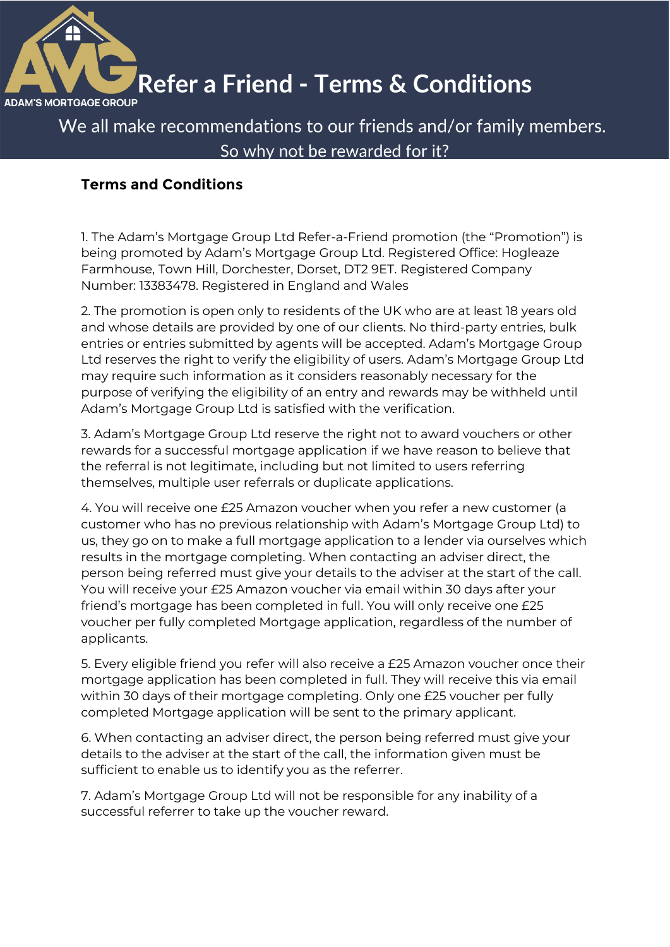

## **Refer a Friend - Terms & Conditions**

We all make recommendations to our friends and/or family members. So why not be rewarded for it?

### **Terms and Conditions**

1. The Adam's Mortgage Group Ltd Refer-a-Friend promotion (the "Promotion") is being promoted by Adam's Mortgage Group Ltd. Registered Office: Hogleaze Farmhouse, Town Hill, Dorchester, Dorset, DT2 9ET. Registered Company Number: 13383478. Registered in England and Wales

2. The promotion is open only to residents of the UK who are at least 18 years old and whose details are provided by one of our clients. No third-party entries, bulk entries or entries submitted by agents will be accepted. Adam's Mortgage Group Ltd reserves the right to verify the eligibility of users. Adam's Mortgage Group Ltd may require such information as it considers reasonably necessary for the purpose of verifying the eligibility of an entry and rewards may be withheld until Adam's Mortgage Group Ltd is satisfied with the verification.

3. Adam's Mortgage Group Ltd reserve the right not to award vouchers or other rewards for a successful mortgage application if we have reason to believe that the referral is not legitimate, including but not limited to users referring themselves, multiple user referrals or duplicate applications.

4. You will receive one £25 Amazon voucher when you refer a new customer (a customer who has no previous relationship with Adam's Mortgage Group Ltd) to us, they go on to make a full mortgage application to a lender via ourselves which results in the mortgage completing. When contacting an adviser direct, the person being referred must give your details to the adviser at the start of the call. You will receive your £25 Amazon voucher via email within 30 days after your friend's mortgage has been completed in full. You will only receive one £25 voucher per fully completed Mortgage application, regardless of the number of applicants.

5. Every eligible friend you refer will also receive a £25 Amazon voucher once their mortgage application has been completed in full. They will receive this via email within 30 days of their mortgage completing. Only one £25 voucher per fully completed Mortgage application will be sent to the primary applicant.

6. When contacting an adviser direct, the person being referred must give your details to the adviser at the start of the call, the information given must be sufficient to enable us to identify you as the referrer.

7. Adam's Mortgage Group Ltd will not be responsible for any inability of a successful referrer to take up the voucher reward.